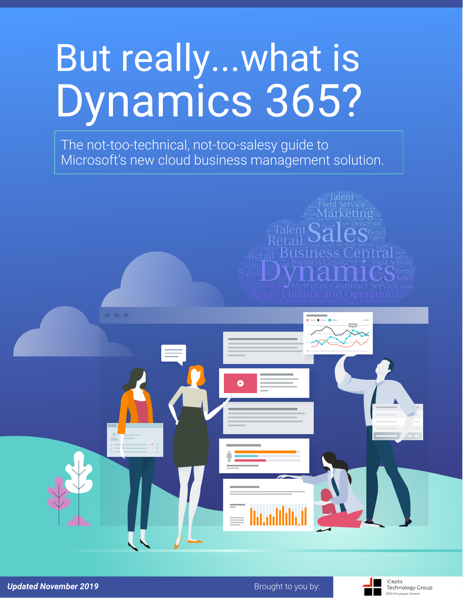## But really...what is Dynamics 365?

The not-too-technical, not-too-salesy guide to Microsoft's new cloud business management solution.

Talent **C** 

**Retail Business Cen** 

**Talent** 

**RetailMarketing** 



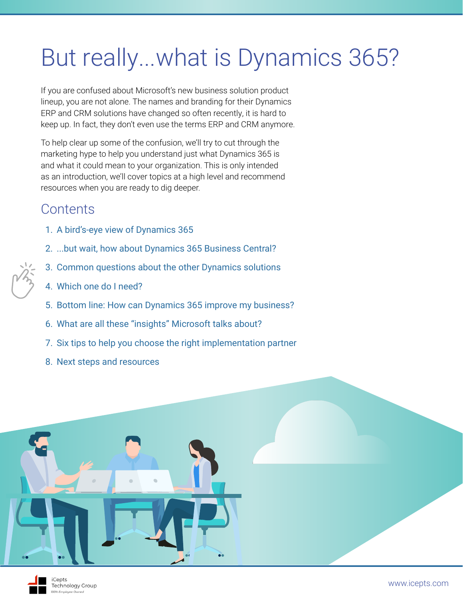### But really...what is Dynamics 365?

If you are confused about Microsoft's new business solution product lineup, you are not alone. The names and branding for their Dynamics ERP and CRM solutions have changed so often recently, it is hard to keep up. In fact, they don't even use the terms ERP and CRM anymore.

To help clear up some of the confusion, we'll try to cut through the marketing hype to help you understand just what Dynamics 365 is and what it could mean to your organization. This is only intended as an introduction, we'll cover topics at a high level and recommend resources when you are ready to dig deeper.

#### **Contents**

- 1. [A bird's-eye view of Dynamics 365](#page-2-0)
- 2. [...but wait, how about Dynamics 365 Business Central?](#page-3-0)
- 3. [Common questions about the other Dynamics solutions](#page-4-0)
- 4. [Which one do I need?](#page-5-0)
- 5. [Bottom line: How can Dynamics 365 improve my business?](#page-6-0)
- 6. [What are all these "insights" Microsoft talks about?](#page-10-0)
- 7. [Six tips to help you choose the right implementation partner](#page-12-0)
- 8. [Next steps and resources](#page-13-0)



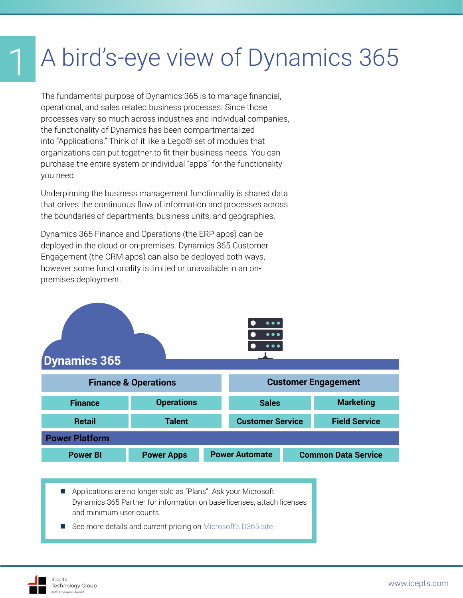## <span id="page-2-0"></span>1 A bird's-eye view of Dynamics 365

The fundamental purpose of Dynamics 365 is to manage financial, operational, and sales related business processes. Since those processes vary so much across industries and individual companies, the functionality of Dynamics has been compartmentalized into "Applications." Think of it like a Lego® set of modules that organizations can put together to fit their business needs. You can purchase the entire system or individual "apps" for the functionality you need.

Underpinning the business management functionality is shared data that drives the continuous flow of information and processes across the boundaries of departments, business units, and geographies.

Dynamics 365 Finance and Operations (the ERP apps) can be deployed in the cloud or on-premises. Dynamics 365 Customer Engagement (the CRM apps) can also be deployed both ways, however some functionality is limited or unavailable in an onpremises deployment.



■ Applications are no longer sold as "Plans". Ask your Microsoft Dynamics 365 Partner for information on base licenses, attach licenses and minimum user counts.

See more details and current pricing on [Microsoft's D365 site](https://dynamics.microsoft.com/en-us/pricing/)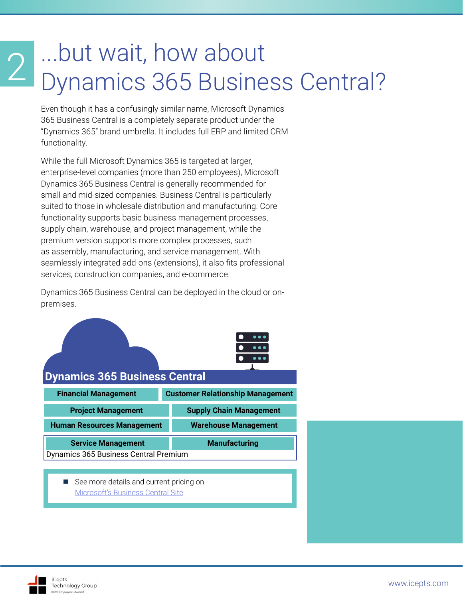# <span id="page-3-0"></span>2 ...but wait, how about<br>2 Dynamics 365 Business Central?

Even though it has a confusingly similar name, Microsoft Dynamics 365 Business Central is a completely separate product under the "Dynamics 365" brand umbrella. It includes full ERP and limited CRM functionality.

While the full Microsoft Dynamics 365 is targeted at larger, enterprise-level companies (more than 250 employees), Microsoft Dynamics 365 Business Central is generally recommended for small and mid-sized companies. Business Central is particularly suited to those in wholesale distribution and manufacturing. Core functionality supports basic business management processes, supply chain, warehouse, and project management, while the premium version supports more complex processes, such as assembly, manufacturing, and service management. With seamlessly integrated add-ons (extensions), it also fits professional services, construction companies, and e-commerce.

Dynamics 365 Business Central can be deployed in the cloud or onpremises.



[Microsoft's Business Central Site](https://dynamics.microsoft.com/en-us/business-central/overview/#pricing )

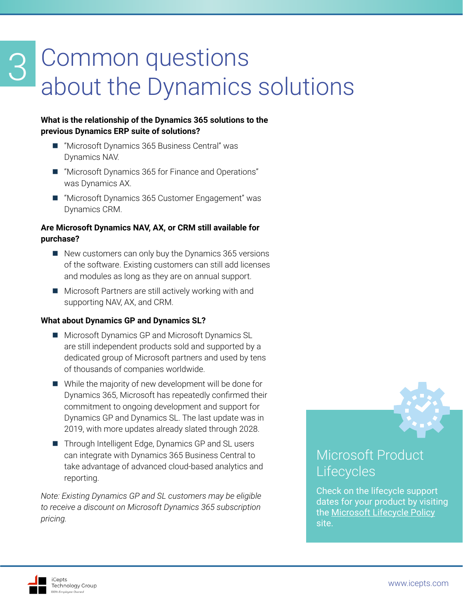## <span id="page-4-0"></span>Common questions about the Dynamics solutions

#### **What is the relationship of the Dynamics 365 solutions to the previous Dynamics ERP suite of solutions?**

- "Microsoft Dynamics 365 Business Central" was Dynamics NAV.
- "Microsoft Dynamics 365 for Finance and Operations" was Dynamics AX.
- "Microsoft Dynamics 365 Customer Engagement" was Dynamics CRM.

#### **Are Microsoft Dynamics NAV, AX, or CRM still available for purchase?**

- $\blacksquare$  New customers can only buy the Dynamics 365 versions of the software. Existing customers can still add licenses and modules as long as they are on annual support.
- Microsoft Partners are still actively working with and supporting NAV, AX, and CRM.

#### **What about Dynamics GP and Dynamics SL?**

- Microsoft Dynamics GP and Microsoft Dynamics SL are still independent products sold and supported by a dedicated group of Microsoft partners and used by tens of thousands of companies worldwide.
- While the majority of new development will be done for Dynamics 365, Microsoft has repeatedly confirmed their commitment to ongoing development and support for Dynamics GP and Dynamics SL. The last update was in 2019, with more updates already slated through 2028.
- Through Intelligent Edge, Dynamics GP and SL users can integrate with Dynamics 365 Business Central to take advantage of advanced cloud-based analytics and reporting.

*Note: Existing Dynamics GP and SL customers may be eligible to receive a discount on Microsoft Dynamics 365 subscription pricing.*

## Microsoft Product

### **Lifecycles**

Check on the lifecycle support dates for your product by visiting the [Microsoft Lifecycle Policy](https://support.microsoft.com/en-us/hub/4095338/microsoft-lifecycle-policy) site.

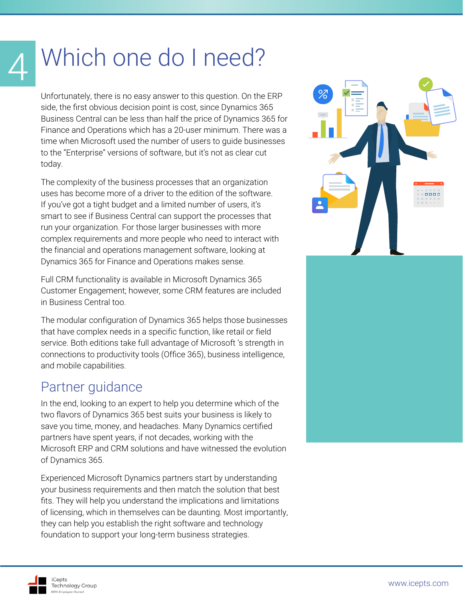## Which one do I need?

<span id="page-5-0"></span>4

Unfortunately, there is no easy answer to this question. On the ERP side, the first obvious decision point is cost, since Dynamics 365 Business Central can be less than half the price of Dynamics 365 for Finance and Operations which has a 20-user minimum. There was a time when Microsoft used the number of users to guide businesses to the "Enterprise" versions of software, but it's not as clear cut today.

The complexity of the business processes that an organization uses has become more of a driver to the edition of the software. If you've got a tight budget and a limited number of users, it's smart to see if Business Central can support the processes that run your organization. For those larger businesses with more complex requirements and more people who need to interact with the financial and operations management software, looking at Dynamics 365 for Finance and Operations makes sense.

Full CRM functionality is available in Microsoft Dynamics 365 Customer Engagement; however, some CRM features are included in Business Central too.

The modular configuration of Dynamics 365 helps those businesses that have complex needs in a specific function, like retail or field service. Both editions take full advantage of Microsoft 's strength in connections to productivity tools (Office 365), business intelligence, and mobile capabilities.

#### Partner guidance

In the end, looking to an expert to help you determine which of the two flavors of Dynamics 365 best suits your business is likely to save you time, money, and headaches. Many Dynamics certified partners have spent years, if not decades, working with the Microsoft ERP and CRM solutions and have witnessed the evolution of Dynamics 365.

Experienced Microsoft Dynamics partners start by understanding your business requirements and then match the solution that best fits. They will help you understand the implications and limitations of licensing, which in themselves can be daunting. Most importantly, they can help you establish the right software and technology foundation to support your long-term business strategies.

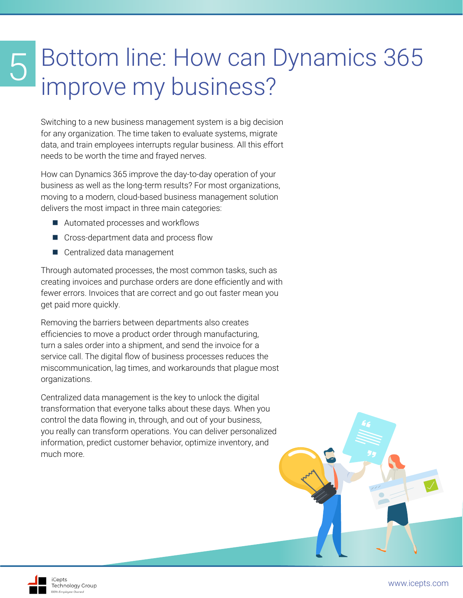#### <span id="page-6-0"></span>Bottom line: How can Dynamics 365 improve my business? 5

Switching to a new business management system is a big decision for any organization. The time taken to evaluate systems, migrate data, and train employees interrupts regular business. All this effort needs to be worth the time and frayed nerves.

How can Dynamics 365 improve the day-to-day operation of your business as well as the long-term results? For most organizations, moving to a modern, cloud-based business management solution delivers the most impact in three main categories:

- Automated processes and workflows
- Cross-department data and process flow
- Centralized data management

Through automated processes, the most common tasks, such as creating invoices and purchase orders are done efficiently and with fewer errors. Invoices that are correct and go out faster mean you get paid more quickly.

Removing the barriers between departments also creates efficiencies to move a product order through manufacturing, turn a sales order into a shipment, and send the invoice for a service call. The digital flow of business processes reduces the miscommunication, lag times, and workarounds that plague most organizations.

Centralized data management is the key to unlock the digital transformation that everyone talks about these days. When you control the data flowing in, through, and out of your business, you really can transform operations. You can deliver personalized information, predict customer behavior, optimize inventory, and much more.

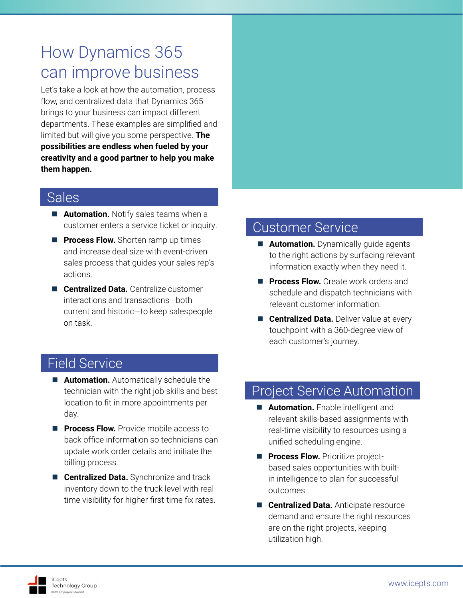#### How Dynamics 365 can improve business

Let's take a look at how the automation, process flow, and centralized data that Dynamics 365 brings to your business can impact different departments. These examples are simplified and limited but will give you some perspective. **The possibilities are endless when fueled by your creativity and a good partner to help you make them happen.** 

#### Sales

- **Automation.** Notify sales teams when a customer enters a service ticket or inquiry.
- **Process Flow.** Shorten ramp up times and increase deal size with event-driven sales process that guides your sales rep's actions.
- **Centralized Data.** Centralize customer interactions and transactions—both current and historic—to keep salespeople on task.

#### Customer Service

- **Automation.** Dynamically guide agents to the right actions by surfacing relevant information exactly when they need it.
- **Process Flow.** Create work orders and schedule and dispatch technicians with relevant customer information.
- **Centralized Data.** Deliver value at every touchpoint with a 360-degree view of each customer's journey.

#### Field Service

- **Automation.** Automatically schedule the technician with the right job skills and best location to fit in more appointments per day.
- **Process Flow.** Provide mobile access to back office information so technicians can update work order details and initiate the billing process.
- **E Centralized Data.** Synchronize and track inventory down to the truck level with realtime visibility for higher first-time fix rates.

#### Project Service Automation

- **Automation.** Enable intelligent and relevant skills-based assignments with real-time visibility to resources using a unified scheduling engine.
- **Process Flow.** Prioritize projectbased sales opportunities with builtin intelligence to plan for successful outcomes.
- **Centralized Data.** Anticipate resource demand and ensure the right resources are on the right projects, keeping utilization high.

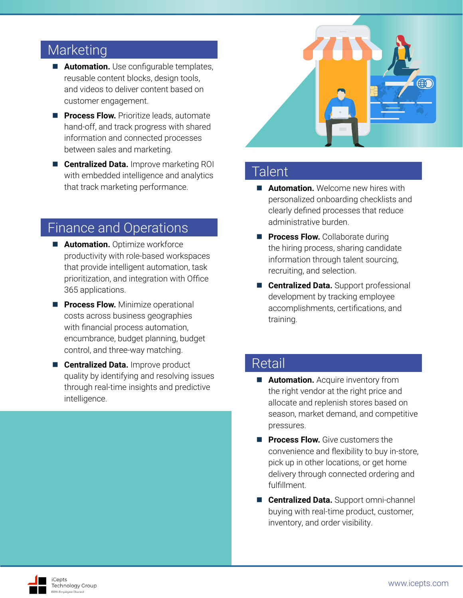#### Marketing

- **Automation.** Use configurable templates, reusable content blocks, design tools, and videos to deliver content based on customer engagement.
- **Process Flow.** Prioritize leads, automate hand-off, and track progress with shared information and connected processes between sales and marketing.
- **Centralized Data.** Improve marketing ROI with embedded intelligence and analytics that track marketing performance.

#### Finance and Operations

- **Automation.** Optimize workforce productivity with role-based workspaces that provide intelligent automation, task prioritization, and integration with Office 365 applications.
- **Process Flow.** Minimize operational costs across business geographies with financial process automation, encumbrance, budget planning, budget control, and three-way matching.
- **Centralized Data.** Improve product quality by identifying and resolving issues through real-time insights and predictive intelligence.



#### **Talent**

- **Automation.** Welcome new hires with personalized onboarding checklists and clearly defined processes that reduce administrative burden.
- **Process Flow.** Collaborate during the hiring process, sharing candidate information through talent sourcing, recruiting, and selection.
- **Centralized Data.** Support professional development by tracking employee accomplishments, certifications, and training.

#### Retail

- **Automation.** Acquire inventory from the right vendor at the right price and allocate and replenish stores based on season, market demand, and competitive pressures.
- **Process Flow.** Give customers the convenience and flexibility to buy in-store, pick up in other locations, or get home delivery through connected ordering and fulfillment.
- **Centralized Data.** Support omni-channel buying with real-time product, customer, inventory, and order visibility.

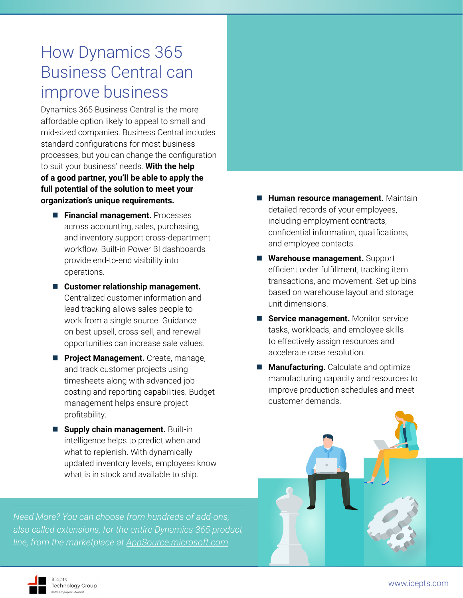#### How Dynamics 365 Business Central can improve business

Dynamics 365 Business Central is the more affordable option likely to appeal to small and mid-sized companies. Business Central includes standard configurations for most business processes, but you can change the configuration to suit your business' needs. **With the help of a good partner, you'll be able to apply the full potential of the solution to meet your organization's unique requirements.**

- **Financial management.** Processes across accounting, sales, purchasing, and inventory support cross-department workflow. Built-in Power BI dashboards provide end-to-end visibility into operations.
- Customer relationship management. Centralized customer information and lead tracking allows sales people to work from a single source. Guidance on best upsell, cross-sell, and renewal opportunities can increase sale values.
- **Project Management.** Create, manage, and track customer projects using timesheets along with advanced job costing and reporting capabilities. Budget management helps ensure project profitability.
- **Supply chain management. Built-in** intelligence helps to predict when and what to replenish. With dynamically updated inventory levels, employees know what is in stock and available to ship.

*Need More? You can choose from hundreds of add-ons, also called extensions, for the entire Dynamics 365 product line, from the marketplace at [AppSource.microsoft.com.](http://AppSource.microsoft.com)*



- **Warehouse management.** Support efficient order fulfillment, tracking item transactions, and movement. Set up bins based on warehouse layout and storage unit dimensions.
- **Service management.** Monitor service tasks, workloads, and employee skills to effectively assign resources and accelerate case resolution.
- **Manufacturing.** Calculate and optimize manufacturing capacity and resources to improve production schedules and meet customer demands.



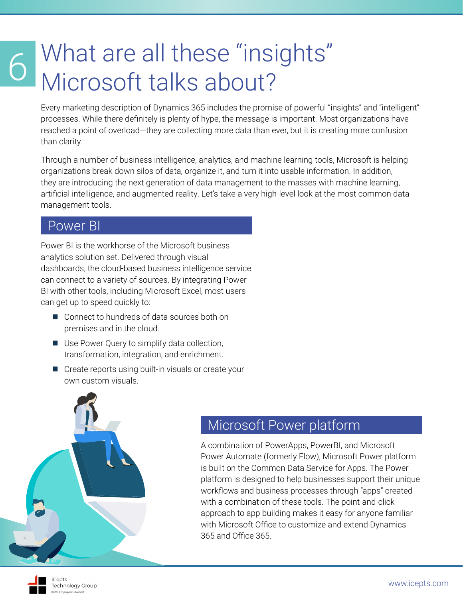# <span id="page-10-0"></span>What are all these "insights"<br>Microsoft talks about?

Every marketing description of Dynamics 365 includes the promise of powerful "insights" and "intelligent" processes. While there definitely is plenty of hype, the message is important. Most organizations have reached a point of overload—they are collecting more data than ever, but it is creating more confusion than clarity.

Through a number of business intelligence, analytics, and machine learning tools, Microsoft is helping organizations break down silos of data, organize it, and turn it into usable information. In addition, they are introducing the next generation of data management to the masses with machine learning, artificial intelligence, and augmented reality. Let's take a very high-level look at the most common data management tools.

#### Power BI

Power BI is the workhorse of the Microsoft business analytics solution set. Delivered through visual dashboards, the cloud-based business intelligence service can connect to a variety of sources. By integrating Power BI with other tools, including Microsoft Excel, most users can get up to speed quickly to:

- Connect to hundreds of data sources both on premises and in the cloud.
- Use Power Query to simplify data collection, transformation, integration, and enrichment.
- Create reports using built-in visuals or create your own custom visuals.



#### Microsoft Power platform

A combination of PowerApps, PowerBI, and Microsoft Power Automate (formerly Flow), Microsoft Power platform is built on the Common Data Service for Apps. The Power platform is designed to help businesses support their unique workflows and business processes through "apps" created with a combination of these tools. The point-and-click approach to app building makes it easy for anyone familiar with Microsoft Office to customize and extend Dynamics 365 and Office 365.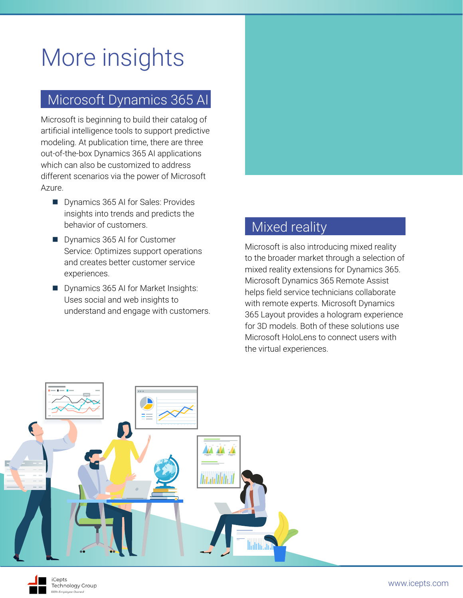## More insights

#### Microsoft Dynamics 365 AI

Microsoft is beginning to build their catalog of artificial intelligence tools to support predictive modeling. At publication time, there are three out-of-the-box Dynamics 365 AI applications which can also be customized to address different scenarios via the power of Microsoft Azure.

- Dynamics 365 AI for Sales: Provides insights into trends and predicts the behavior of customers.
- Dynamics 365 AI for Customer Service: Optimizes support operations and creates better customer service experiences.
- Dynamics 365 AI for Market Insights: Uses social and web insights to understand and engage with customers.



#### Mixed reality

Microsoft is also introducing mixed reality to the broader market through a selection of mixed reality extensions for Dynamics 365. Microsoft Dynamics 365 Remote Assist helps field service technicians collaborate with remote experts. Microsoft Dynamics 365 Layout provides a hologram experience for 3D models. Both of these solutions use Microsoft HoloLens to connect users with the virtual experiences.

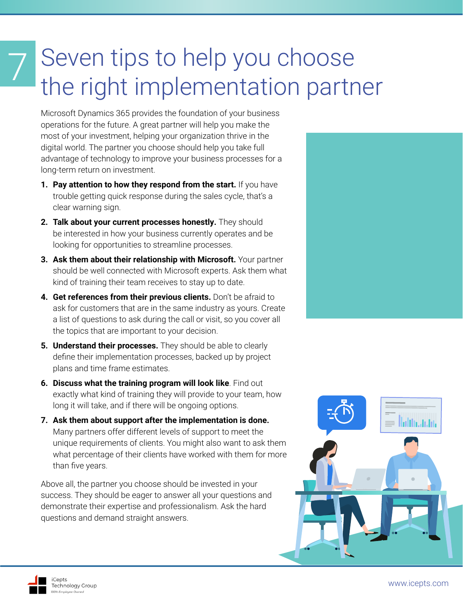## <span id="page-12-0"></span>Seven tips to help you choose the right implementation partner

Microsoft Dynamics 365 provides the foundation of your business operations for the future. A great partner will help you make the most of your investment, helping your organization thrive in the digital world. The partner you choose should help you take full advantage of technology to improve your business processes for a long-term return on investment.

- **1. Pay attention to how they respond from the start.** If you have trouble getting quick response during the sales cycle, that's a clear warning sign.
- **2. Talk about your current processes honestly.** They should be interested in how your business currently operates and be looking for opportunities to streamline processes.
- **3. Ask them about their relationship with Microsoft.** Your partner should be well connected with Microsoft experts. Ask them what kind of training their team receives to stay up to date.
- **4. Get references from their previous clients.** Don't be afraid to ask for customers that are in the same industry as yours. Create a list of questions to ask during the call or visit, so you cover all the topics that are important to your decision.
- **5. Understand their processes.** They should be able to clearly define their implementation processes, backed up by project plans and time frame estimates.
- **6. Discuss what the training program will look like**. Find out exactly what kind of training they will provide to your team, how long it will take, and if there will be ongoing options.
- **7. Ask them about support after the implementation is done.**  Many partners offer different levels of support to meet the unique requirements of clients. You might also want to ask them what percentage of their clients have worked with them for more than five years.

Above all, the partner you choose should be invested in your success. They should be eager to answer all your questions and demonstrate their expertise and professionalism. Ask the hard questions and demand straight answers.



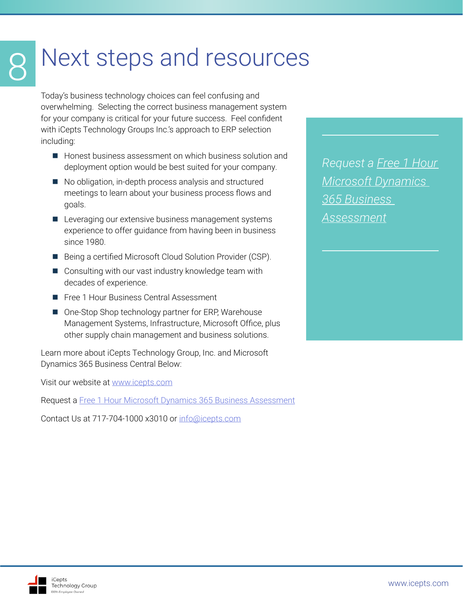## <span id="page-13-0"></span>Next steps and resources

Today's business technology choices can feel confusing and overwhelming. Selecting the correct business management system for your company is critical for your future success. Feel confident with iCepts Technology Groups Inc.'s approach to ERP selection including:

- Honest business assessment on which business solution and deployment option would be best suited for your company.
- No obligation, in-depth process analysis and structured meetings to learn about your business process flows and goals.
- **Leveraging our extensive business management systems** experience to offer guidance from having been in business since 1980.
- Being a certified Microsoft Cloud Solution Provider (CSP).
- Consulting with our vast industry knowledge team with decades of experience.
- Free 1 Hour Business Central Assessment
- One-Stop Shop technology partner for ERP, Warehouse Management Systems, Infrastructure, Microsoft Office, plus other supply chain management and business solutions.

Learn more about iCepts Technology Group, Inc. and Microsoft Dynamics 365 Business Central Below:

Visit our website at [www.icepts.com](http://www.icepts.com)

Request a [Free 1 Hour Microsoft Dynamics 365 Business Assessment](https://appsource.microsoft.com/en-us/marketplace/consulting-services/icepts_technology-516140.365-business-central-free?industry=distribution&product=dynamics-365-business-central%3Bdynamics-365-for-customer-services%3Bdynamics-365-for-field-services%3Bdynamics-365-for-finance-and-operations%3Bdynamics-365-for-project-service-automation%3Bdynamics-365-for-sales&search=icepts)

Contact Us at 717-704-1000 x3010 or [info@icepts.com](mailto:info%40icepts.com?subject=What%20is%20Dynamics%20365%20White%20Paper)

*Request a [Free 1 Hour](https://appsource.microsoft.com/en-us/marketplace/consulting-services/icepts_technology-516140.365-business-central-free?industry=distribution&product=dynamics-365-business-central%3Bdynamics-365-for-customer-services%3Bdynamics-365-for-field-services%3Bdynamics-365-for-finance-and-operations%3Bdynamics-365-for-project-service-automation%3Bdynamics-365-for-sales&search=icepts)  [Microsoft Dynamics](https://appsource.microsoft.com/en-us/marketplace/consulting-services/icepts_technology-516140.365-business-central-free?industry=distribution&product=dynamics-365-business-central%3Bdynamics-365-for-customer-services%3Bdynamics-365-for-field-services%3Bdynamics-365-for-finance-and-operations%3Bdynamics-365-for-project-service-automation%3Bdynamics-365-for-sales&search=icepts)  [365 Business](https://appsource.microsoft.com/en-us/marketplace/consulting-services/icepts_technology-516140.365-business-central-free?industry=distribution&product=dynamics-365-business-central%3Bdynamics-365-for-customer-services%3Bdynamics-365-for-field-services%3Bdynamics-365-for-finance-and-operations%3Bdynamics-365-for-project-service-automation%3Bdynamics-365-for-sales&search=icepts)  [Assessment](https://appsource.microsoft.com/en-us/marketplace/consulting-services/icepts_technology-516140.365-business-central-free?industry=distribution&product=dynamics-365-business-central%3Bdynamics-365-for-customer-services%3Bdynamics-365-for-field-services%3Bdynamics-365-for-finance-and-operations%3Bdynamics-365-for-project-service-automation%3Bdynamics-365-for-sales&search=icepts)*